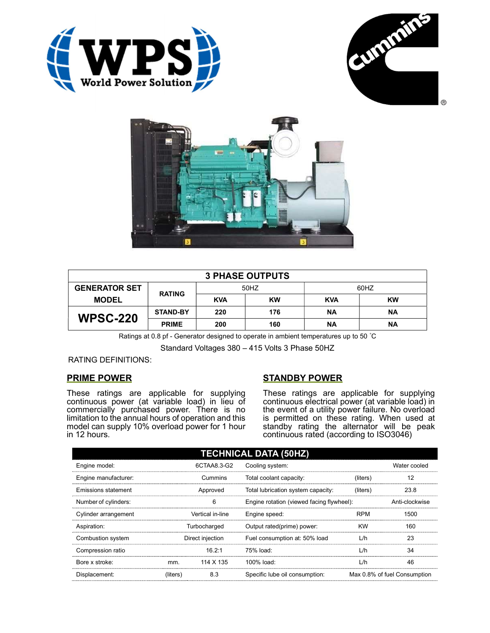





| <b>3 PHASE OUTPUTS</b> |                 |            |           |            |           |  |  |
|------------------------|-----------------|------------|-----------|------------|-----------|--|--|
| <b>GENERATOR SET</b>   | <b>RATING</b>   | 50HZ       |           | 60HZ       |           |  |  |
| <b>MODEL</b>           |                 | <b>KVA</b> | <b>KW</b> | <b>KVA</b> | <b>KW</b> |  |  |
| <b>WPSC-220</b>        | <b>STAND-BY</b> | 220        | 176       | ΝA         | ΝA        |  |  |
|                        | <b>PRIME</b>    | 200        | 160       | <b>NA</b>  | ΝA        |  |  |

Ratings at 0.8 pf - Generator designed to operate in ambient temperatures up to 50 °C

Standard Voltages 380 – 415 Volts 3 Phase 50HZ

## RATING DEFINITIONS:

## PRIME POWER

These ratings are applicable for supplying continuous power (at variable load) in lieu of commercially purchased power. There is no limitation to the annual hours of operation and this model can supply 10% overload power for 1 hour in 12 hours.

## STANDBY POWER

These ratings are applicable for supplying continuous electrical power (at variable load) in the event of a utility power failure. No overload is permitted on these rating. When used at standby rating the alternator will be peak continuous rated (according to ISO3046)

| <b>TECHNICAL DATA (50HZ)</b> |                  |             |                                           |            |                              |  |
|------------------------------|------------------|-------------|-------------------------------------------|------------|------------------------------|--|
| Engine model:                |                  | 6CTAA8.3-G2 | Cooling system:                           |            | Water cooled                 |  |
| Engine manufacturer:         | Cummins          |             | Total coolant capacity:                   | (liters)   | 12                           |  |
| Emissions statement          | Approved         |             | Total lubrication system capacity:        | (liters)   | 23.8                         |  |
| Number of cylinders:         | 6                |             | Engine rotation (viewed facing flywheel): |            | Anti-clockwise               |  |
| Cylinder arrangement         | Vertical in-line |             | Engine speed:                             | <b>RPM</b> | 1500                         |  |
| Aspiration:                  | Turbocharged     |             | Output rated(prime) power:                | <b>KW</b>  | 160                          |  |
| Combustion system            | Direct injection |             | Fuel consumption at: 50% load             | L/h        | 23                           |  |
| Compression ratio            |                  | 16.2:1      | 75% load:                                 | L/h        | 34                           |  |
| Bore x stroke:               | mm.              | 114 X 135   | 100% load:                                | L/h        | 46                           |  |
| Displacement:                | (liters)         | 8.3         | Specific lube oil consumption:            |            | Max 0.8% of fuel Consumption |  |